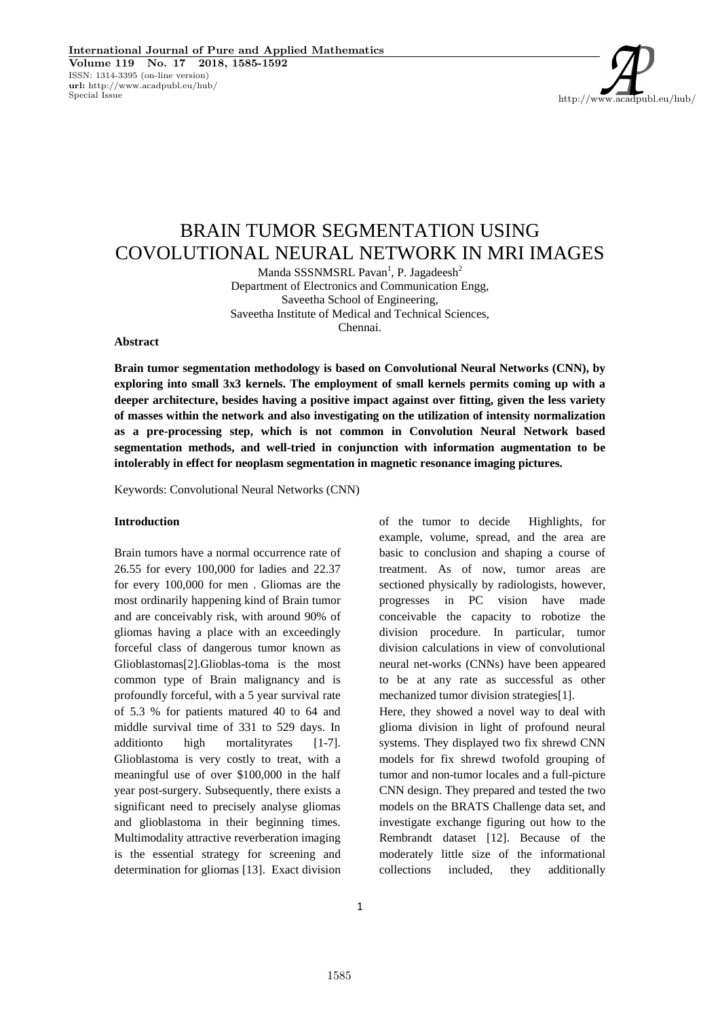http://www.acadpubl.eu/hub/

# BRAIN TUMOR SEGMENTATION USING COVOLUTIONAL NEURAL NETWORK IN MRI IMAGES

Manda SSSNMSRL Pavan<sup>1</sup>, P. Jagadeesh<sup>2</sup> Department of Electronics and Communication Engg, Saveetha School of Engineering, Saveetha Institute of Medical and Technical Sciences, Chennai.

#### **Abstract**

**Brain tumor segmentation methodology is based on Convolutional Neural Networks (CNN), by exploring into small 3x3 kernels. The employment of small kernels permits coming up with a deeper architecture, besides having a positive impact against over fitting, given the less variety of masses within the network and also investigating on the utilization of intensity normalization as a pre-processing step, which is not common in Convolution Neural Network based segmentation methods, and well-tried in conjunction with information augmentation to be intolerably in effect for neoplasm segmentation in magnetic resonance imaging pictures.**

Keywords: Convolutional Neural Networks (CNN)

## **Introduction**

Brain tumors have a normal occurrence rate of 26.55 for every 100,000 for ladies and 22.37 for every 100,000 for men . Gliomas are the most ordinarily happening kind of Brain tumor and are conceivably risk, with around 90% of gliomas having a place with an exceedingly forceful class of dangerous tumor known as Glioblastomas[2].Glioblas-toma is the most common type of Brain malignancy and is profoundly forceful, with a 5 year survival rate of 5.3 % for patients matured 40 to 64 and middle survival time of 331 to 529 days. In additionto high mortalityrates [1-7]. Glioblastoma is very costly to treat, with a meaningful use of over \$100,000 in the half year post-surgery. Subsequently, there exists a significant need to precisely analyse gliomas and glioblastoma in their beginning times. Multimodality attractive reverberation imaging is the essential strategy for screening and determination for gliomas [13]. Exact division

example, volume, spread, and the area are basic to conclusion and shaping a course of treatment. As of now, tumor areas are sectioned physically by radiologists, however, progresses in PC vision have made conceivable the capacity to robotize the division procedure. In particular, tumor division calculations in view of convolutional neural net-works (CNNs) have been appeared to be at any rate as successful as other mechanized tumor division strategies[1]. Here, they showed a novel way to deal with

of the tumor to decide Highlights, for

glioma division in light of profound neural systems. They displayed two fix shrewd CNN models for fix shrewd twofold grouping of tumor and non-tumor locales and a full-picture CNN design. They prepared and tested the two models on the BRATS Challenge data set, and investigate exchange figuring out how to the Rembrandt dataset [12]. Because of the moderately little size of the informational collections included, they additionally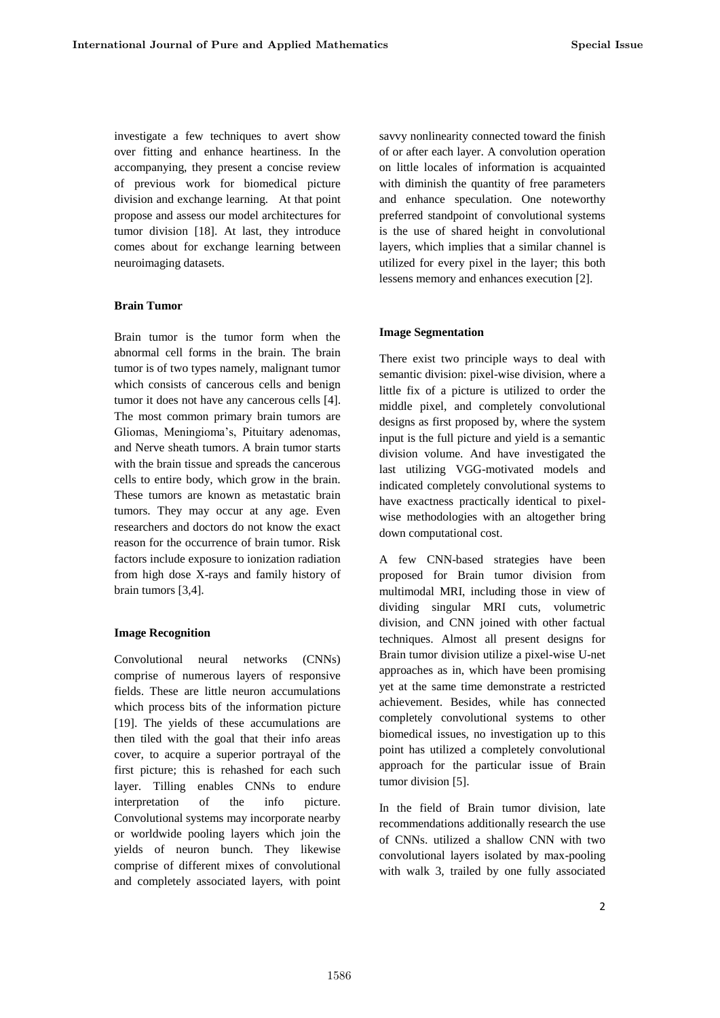investigate a few techniques to avert show over fitting and enhance heartiness. In the accompanying, they present a concise review of previous work for biomedical picture division and exchange learning. At that point propose and assess our model architectures for tumor division [18]. At last, they introduce comes about for exchange learning between neuroimaging datasets.

# **Brain Tumor**

Brain tumor is the tumor form when the abnormal cell forms in the brain. The brain tumor is of two types namely, malignant tumor which consists of cancerous cells and benign tumor it does not have any cancerous cells [4]. The most common primary brain tumors are Gliomas, Meningioma's, Pituitary adenomas, and Nerve sheath tumors. A brain tumor starts with the brain tissue and spreads the cancerous cells to entire body, which grow in the brain. These tumors are known as metastatic brain tumors. They may occur at any age. Even researchers and doctors do not know the exact reason for the occurrence of brain tumor. Risk factors include exposure to ionization radiation from high dose X-rays and family history of brain tumors [3,4].

## **Image Recognition**

Convolutional neural networks (CNNs) comprise of numerous layers of responsive fields. These are little neuron accumulations which process bits of the information picture [19]. The yields of these accumulations are then tiled with the goal that their info areas cover, to acquire a superior portrayal of the first picture; this is rehashed for each such layer. Tilling enables CNNs to endure interpretation of the info picture. Convolutional systems may incorporate nearby or worldwide pooling layers which join the yields of neuron bunch. They likewise comprise of different mixes of convolutional and completely associated layers, with point

savvy nonlinearity connected toward the finish of or after each layer. A convolution operation on little locales of information is acquainted with diminish the quantity of free parameters and enhance speculation. One noteworthy preferred standpoint of convolutional systems is the use of shared height in convolutional layers, which implies that a similar channel is utilized for every pixel in the layer; this both lessens memory and enhances execution [2].

## **Image Segmentation**

There exist two principle ways to deal with semantic division: pixel-wise division, where a little fix of a picture is utilized to order the middle pixel, and completely convolutional designs as first proposed by, where the system input is the full picture and yield is a semantic division volume. And have investigated the last utilizing VGG-motivated models and indicated completely convolutional systems to have exactness practically identical to pixelwise methodologies with an altogether bring down computational cost.

A few CNN-based strategies have been proposed for Brain tumor division from multimodal MRI, including those in view of dividing singular MRI cuts, volumetric division, and CNN joined with other factual techniques. Almost all present designs for Brain tumor division utilize a pixel-wise U-net approaches as in, which have been promising yet at the same time demonstrate a restricted achievement. Besides, while has connected completely convolutional systems to other biomedical issues, no investigation up to this point has utilized a completely convolutional approach for the particular issue of Brain tumor division [5].

In the field of Brain tumor division, late recommendations additionally research the use of CNNs. utilized a shallow CNN with two convolutional layers isolated by max-pooling with walk 3, trailed by one fully associated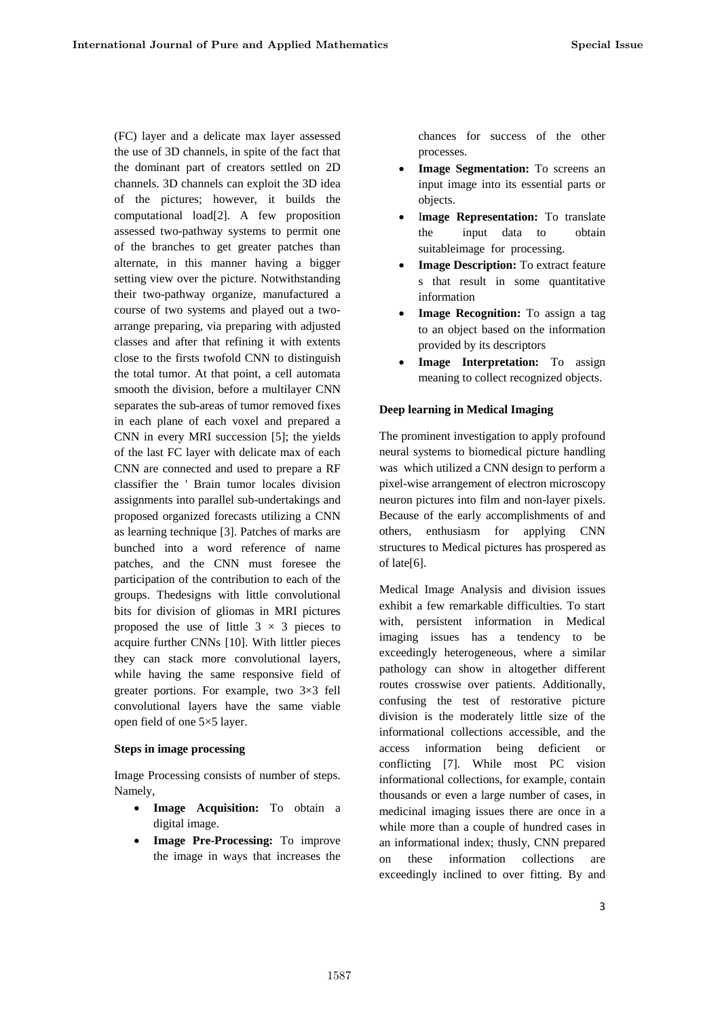(FC) layer and a delicate max layer assessed the use of 3D channels, in spite of the fact that the dominant part of creators settled on 2D channels. 3D channels can exploit the 3D idea of the pictures; however, it builds the computational load[2]. A few proposition assessed two-pathway systems to permit one of the branches to get greater patches than alternate, in this manner having a bigger setting view over the picture. Notwithstanding their two-pathway organize, manufactured a course of two systems and played out a twoarrange preparing, via preparing with adjusted classes and after that refining it with extents close to the firsts twofold CNN to distinguish the total tumor. At that point, a cell automata smooth the division, before a multilayer CNN separates the sub-areas of tumor removed fixes in each plane of each voxel and prepared a CNN in every MRI succession [5]; the yields of the last FC layer with delicate max of each CNN are connected and used to prepare a RF classifier the ' Brain tumor locales division assignments into parallel sub-undertakings and proposed organized forecasts utilizing a CNN as learning technique [3]. Patches of marks are bunched into a word reference of name patches, and the CNN must foresee the participation of the contribution to each of the groups. Thedesigns with little convolutional bits for division of gliomas in MRI pictures proposed the use of little  $3 \times 3$  pieces to acquire further CNNs [10]. With littler pieces they can stack more convolutional layers, while having the same responsive field of greater portions. For example, two 3×3 fell convolutional layers have the same viable open field of one 5×5 layer.

#### **Steps in image processing**

Image Processing consists of number of steps. Namely,

- **Image Acquisition:** To obtain a digital image.
- **Image Pre-Processing:** To improve the image in ways that increases the

chances for success of the other processes.

- **Image Segmentation:** To screens an input image into its essential parts or objects.
- Image Representation: To translate the input data to obtain suitableimage for processing.
- **Image Description:** To extract feature s that result in some quantitative information
- **Image Recognition:** To assign a tag to an object based on the information provided by its descriptors
- **Image Interpretation:** To assign meaning to collect recognized objects.

# **Deep learning in Medical Imaging**

The prominent investigation to apply profound neural systems to biomedical picture handling was which utilized a CNN design to perform a pixel-wise arrangement of electron microscopy neuron pictures into film and non-layer pixels. Because of the early accomplishments of and others, enthusiasm for applying CNN structures to Medical pictures has prospered as of late[6].

Medical Image Analysis and division issues exhibit a few remarkable difficulties. To start with, persistent information in Medical imaging issues has a tendency to be exceedingly heterogeneous, where a similar pathology can show in altogether different routes crosswise over patients. Additionally, confusing the test of restorative picture division is the moderately little size of the informational collections accessible, and the access information being deficient or conflicting [7]. While most PC vision informational collections, for example, contain thousands or even a large number of cases, in medicinal imaging issues there are once in a while more than a couple of hundred cases in an informational index; thusly, CNN prepared on these information collections are exceedingly inclined to over fitting. By and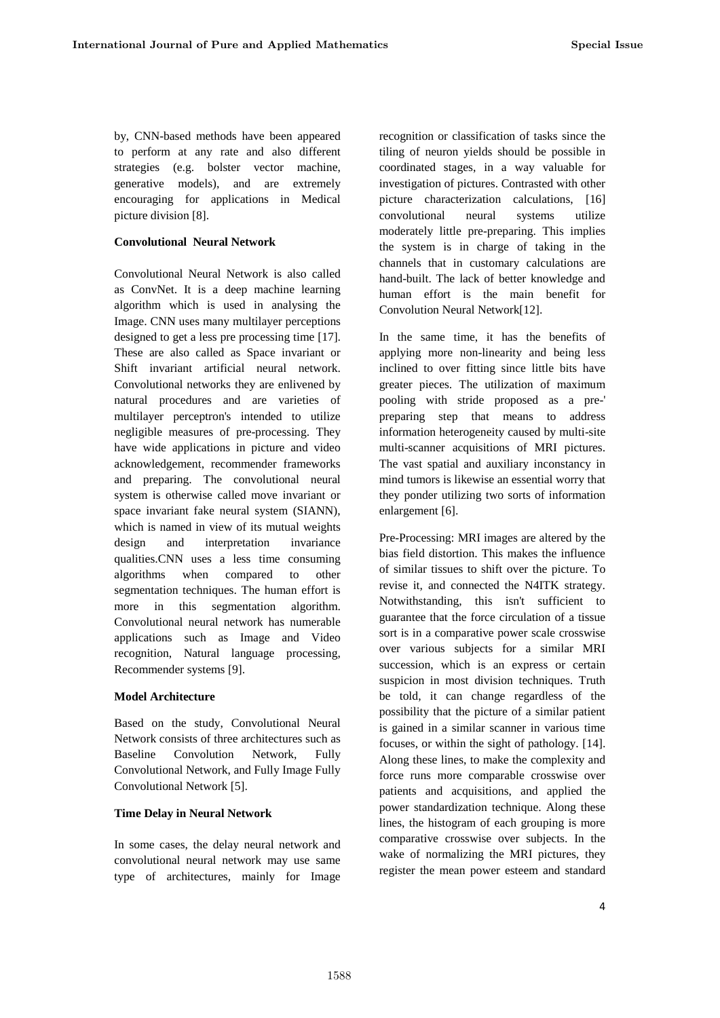by, CNN-based methods have been appeared to perform at any rate and also different strategies (e.g. bolster vector machine, generative models), and are extremely encouraging for applications in Medical picture division [8].

## **Convolutional Neural Network**

Convolutional Neural Network is also called as ConvNet. It is a deep machine learning algorithm which is used in analysing the Image. CNN uses many multilayer perceptions designed to get a less pre processing time [17]. These are also called as Space invariant or Shift invariant artificial neural network. Convolutional networks they are enlivened by natural procedures and are varieties of multilayer perceptron's intended to utilize negligible measures of pre-processing. They have wide applications in picture and video acknowledgement, recommender frameworks and preparing. The convolutional neural system is otherwise called move invariant or space invariant fake neural system (SIANN), which is named in view of its mutual weights design and interpretation invariance qualities.CNN uses a less time consuming algorithms when compared to other segmentation techniques. The human effort is more in this segmentation algorithm. Convolutional neural network has numerable applications such as Image and Video recognition, Natural language processing, Recommender systems [9].

# **Model Architecture**

Based on the study, Convolutional Neural Network consists of three architectures such as Baseline Convolution Network, Fully Convolutional Network, and Fully Image Fully Convolutional Network [5].

#### **Time Delay in Neural Network**

In some cases, the delay neural network and convolutional neural network may use same type of architectures, mainly for Image

recognition or classification of tasks since the tiling of neuron yields should be possible in coordinated stages, in a way valuable for investigation of pictures. Contrasted with other picture characterization calculations, [16] convolutional neural systems utilize moderately little pre-preparing. This implies the system is in charge of taking in the channels that in customary calculations are hand-built. The lack of better knowledge and human effort is the main benefit for Convolution Neural Network[12].

In the same time, it has the benefits of applying more non-linearity and being less inclined to over fitting since little bits have greater pieces. The utilization of maximum pooling with stride proposed as a pre-' preparing step that means to address information heterogeneity caused by multi-site multi-scanner acquisitions of MRI pictures. The vast spatial and auxiliary inconstancy in mind tumors is likewise an essential worry that they ponder utilizing two sorts of information enlargement [6].

Pre-Processing: MRI images are altered by the bias field distortion. This makes the influence of similar tissues to shift over the picture. To revise it, and connected the N4ITK strategy. Notwithstanding, this isn't sufficient to guarantee that the force circulation of a tissue sort is in a comparative power scale crosswise over various subjects for a similar MRI succession, which is an express or certain suspicion in most division techniques. Truth be told, it can change regardless of the possibility that the picture of a similar patient is gained in a similar scanner in various time focuses, or within the sight of pathology. [14]. Along these lines, to make the complexity and force runs more comparable crosswise over patients and acquisitions, and applied the power standardization technique. Along these lines, the histogram of each grouping is more comparative crosswise over subjects. In the wake of normalizing the MRI pictures, they register the mean power esteem and standard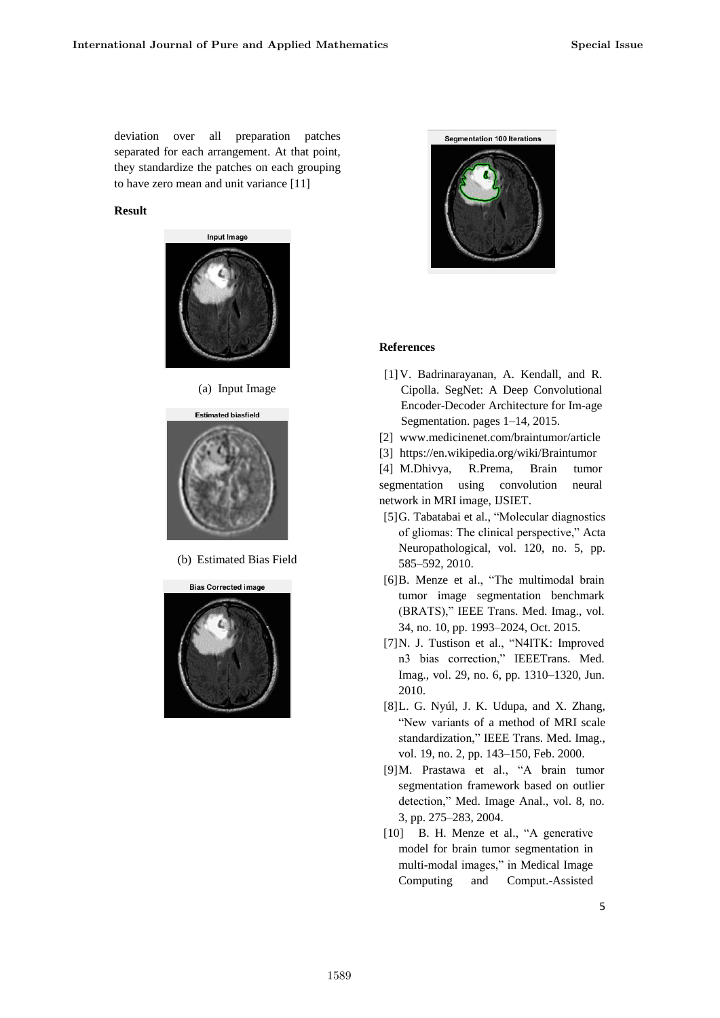deviation over all preparation patches separated for each arrangement. At that point, they standardize the patches on each grouping to have zero mean and unit variance [11]

## **Result**



(a) Input Image



(b) Estimated Bias Field





#### **References**

- [1]V. Badrinarayanan, A. Kendall, and R. Cipolla. SegNet: A Deep Convolutional Encoder-Decoder Architecture for Im-age Segmentation. pages 1–14, 2015.
- [2] www.medicinenet.com/braintumor/article

[3] https://en.wikipedia.org/wiki/Braintumor [4] M.Dhivya, R.Prema, Brain tumor

segmentation using convolution neural network in MRI image, IJSIET.

- [5]G. Tabatabai et al., "Molecular diagnostics of gliomas: The clinical perspective," Acta Neuropathological, vol. 120, no. 5, pp. 585–592, 2010.
- [6]B. Menze et al., "The multimodal brain tumor image segmentation benchmark (BRATS)," IEEE Trans. Med. Imag., vol. 34, no. 10, pp. 1993–2024, Oct. 2015.
- [7]N. J. Tustison et al., "N4ITK: Improved n3 bias correction," IEEETrans. Med. Imag., vol. 29, no. 6, pp. 1310–1320, Jun. 2010.
- [8]L. G. Nyúl, J. K. Udupa, and X. Zhang, "New variants of a method of MRI scale standardization," IEEE Trans. Med. Imag., vol. 19, no. 2, pp. 143–150, Feb. 2000.
- [9]M. Prastawa et al., "A brain tumor segmentation framework based on outlier detection," Med. Image Anal., vol. 8, no. 3, pp. 275–283, 2004.
- [10] B. H. Menze et al., "A generative model for brain tumor segmentation in multi-modal images," in Medical Image Computing and Comput.-Assisted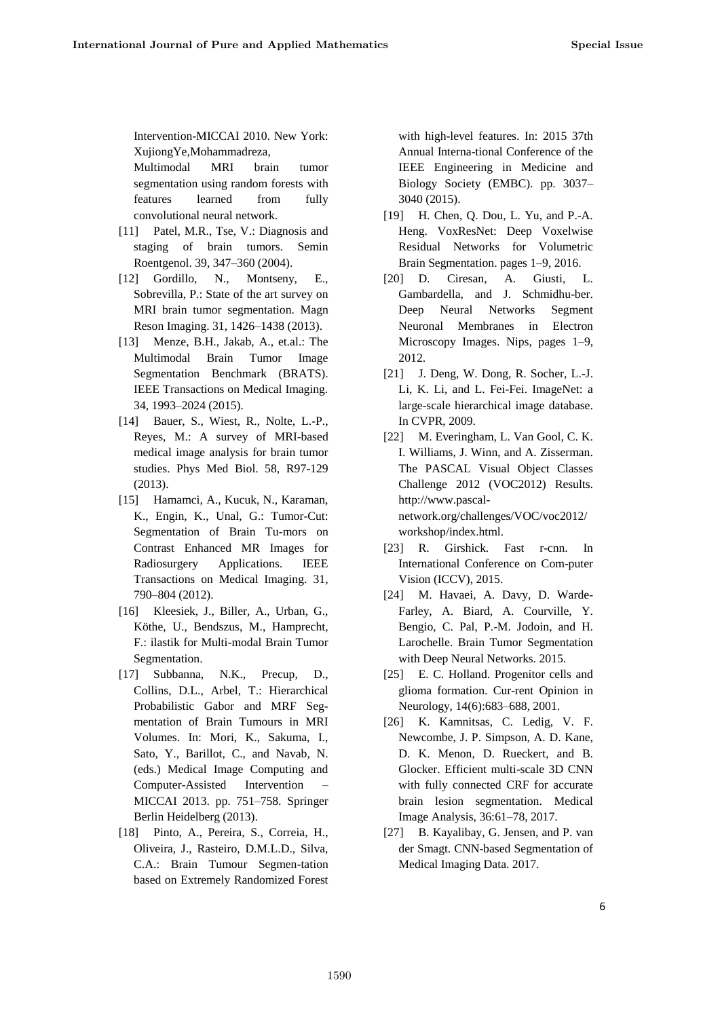Intervention-MICCAI 2010. New York: XujiongYe,Mohammadreza,

Multimodal MRI brain tumor segmentation using random forests with features learned from fully convolutional neural network.

- [11] Patel, M.R., Tse, V.: Diagnosis and staging of brain tumors. Semin Roentgenol. 39, 347–360 (2004).
- [12] Gordillo, N., Montseny, E., Sobrevilla, P.: State of the art survey on MRI brain tumor segmentation. Magn Reson Imaging. 31, 1426–1438 (2013).
- [13] Menze, B.H., Jakab, A., et.al.: The Multimodal Brain Tumor Image Segmentation Benchmark (BRATS). IEEE Transactions on Medical Imaging. 34, 1993–2024 (2015).
- [14] Bauer, S., Wiest, R., Nolte, L.-P., Reyes, M.: A survey of MRI-based medical image analysis for brain tumor studies. Phys Med Biol. 58, R97-129 (2013).
- [15] Hamamci, A., Kucuk, N., Karaman, K., Engin, K., Unal, G.: Tumor-Cut: Segmentation of Brain Tu-mors on Contrast Enhanced MR Images for Radiosurgery Applications. IEEE Transactions on Medical Imaging. 31, 790–804 (2012).
- [16] Kleesiek, J., Biller, A., Urban, G., Köthe, U., Bendszus, M., Hamprecht, F.: ilastik for Multi-modal Brain Tumor Segmentation.
- [17] Subbanna, N.K., Precup, D., Collins, D.L., Arbel, T.: Hierarchical Probabilistic Gabor and MRF Segmentation of Brain Tumours in MRI Volumes. In: Mori, K., Sakuma, I., Sato, Y., Barillot, C., and Navab, N. (eds.) Medical Image Computing and Computer-Assisted Intervention – MICCAI 2013. pp. 751–758. Springer Berlin Heidelberg (2013).
- [18] Pinto, A., Pereira, S., Correia, H., Oliveira, J., Rasteiro, D.M.L.D., Silva, C.A.: Brain Tumour Segmen-tation based on Extremely Randomized Forest

with high-level features. In: 2015 37th Annual Interna-tional Conference of the IEEE Engineering in Medicine and Biology Society (EMBC). pp. 3037– 3040 (2015).

- [19] H. Chen, Q. Dou, L. Yu, and P.-A. Heng. VoxResNet: Deep Voxelwise Residual Networks for Volumetric Brain Segmentation. pages 1–9, 2016.
- [20] D. Ciresan, A. Giusti, L. Gambardella, and J. Schmidhu-ber. Deep Neural Networks Segment Neuronal Membranes in Electron Microscopy Images. Nips, pages 1–9, 2012.
- [21] J. Deng, W. Dong, R. Socher, L.-J. Li, K. Li, and L. Fei-Fei. ImageNet: a large-scale hierarchical image database. In CVPR, 2009.
- [22] M. Everingham, L. Van Gool, C. K. I. Williams, J. Winn, and A. Zisserman. The PASCAL Visual Object Classes Challenge 2012 (VOC2012) Results. http://www.pascalnetwork.org/challenges/VOC/voc2012/ workshop/index.html.
- [23] R. Girshick. Fast r-cnn. In International Conference on Com-puter Vision (ICCV), 2015.
- [24] M. Havaei, A. Davy, D. Warde-Farley, A. Biard, A. Courville, Y. Bengio, C. Pal, P.-M. Jodoin, and H. Larochelle. Brain Tumor Segmentation with Deep Neural Networks. 2015.
- [25] E. C. Holland. Progenitor cells and glioma formation. Cur-rent Opinion in Neurology, 14(6):683–688, 2001.
- [26] K. Kamnitsas, C. Ledig, V. F. Newcombe, J. P. Simpson, A. D. Kane, D. K. Menon, D. Rueckert, and B. Glocker. Efficient multi-scale 3D CNN with fully connected CRF for accurate brain lesion segmentation. Medical Image Analysis, 36:61–78, 2017.
- [27] B. Kayalibay, G. Jensen, and P. van der Smagt. CNN-based Segmentation of Medical Imaging Data. 2017.